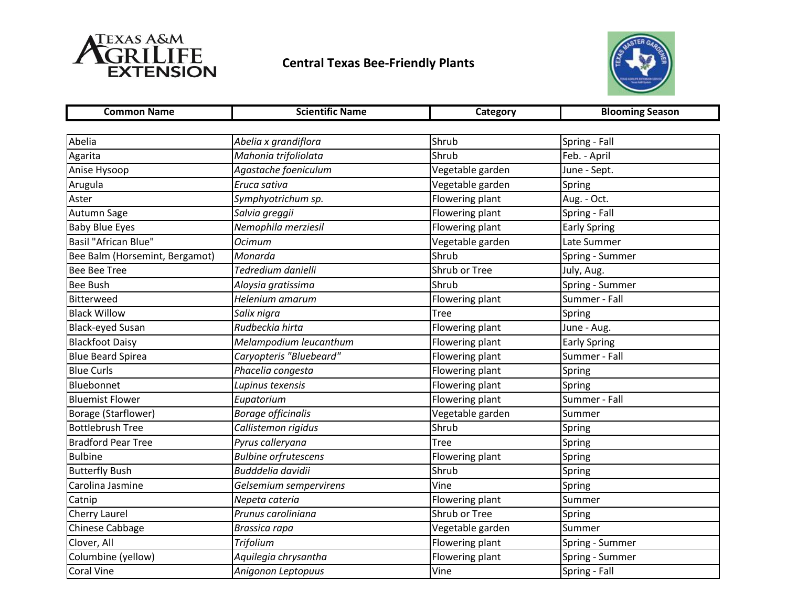

## **Central Texas Bee-Friendly Plants**



| <b>Common Name</b>             | <b>Scientific Name</b>      | Category         | <b>Blooming Season</b> |
|--------------------------------|-----------------------------|------------------|------------------------|
|                                |                             |                  |                        |
| Abelia                         | Abelia x grandiflora        | Shrub            | Spring - Fall          |
| Agarita                        | Mahonia trifoliolata        | Shrub            | Feb. - April           |
| Anise Hysoop                   | Agastache foeniculum        | Vegetable garden | June - Sept.           |
| Arugula                        | Eruca sativa                | Vegetable garden | Spring                 |
| Aster                          | Symphyotrichum sp.          | Flowering plant  | Aug. - Oct.            |
| Autumn Sage                    | Salvia greggii              | Flowering plant  | Spring - Fall          |
| <b>Baby Blue Eyes</b>          | Nemophila merziesil         | Flowering plant  | <b>Early Spring</b>    |
| <b>Basil "African Blue"</b>    | <b>Ocimum</b>               | Vegetable garden | Late Summer            |
| Bee Balm (Horsemint, Bergamot) | Monarda                     | Shrub            | Spring - Summer        |
| <b>Bee Bee Tree</b>            | Tedredium danielli          | Shrub or Tree    | July, Aug.             |
| <b>Bee Bush</b>                | Aloysia gratissima          | Shrub            | Spring - Summer        |
| Bitterweed                     | Helenium amarum             | Flowering plant  | Summer - Fall          |
| <b>Black Willow</b>            | Salix nigra                 | <b>Tree</b>      | Spring                 |
| <b>Black-eyed Susan</b>        | Rudbeckia hirta             | Flowering plant  | June - Aug.            |
| <b>Blackfoot Daisy</b>         | Melampodium leucanthum      | Flowering plant  | <b>Early Spring</b>    |
| <b>Blue Beard Spirea</b>       | Caryopteris "Bluebeard"     | Flowering plant  | Summer - Fall          |
| <b>Blue Curls</b>              | Phacelia congesta           | Flowering plant  | Spring                 |
| Bluebonnet                     | Lupinus texensis            | Flowering plant  | Spring                 |
| <b>Bluemist Flower</b>         | Eupatorium                  | Flowering plant  | Summer - Fall          |
| Borage (Starflower)            | <b>Borage officinalis</b>   | Vegetable garden | Summer                 |
| <b>Bottlebrush Tree</b>        | Callistemon rigidus         | Shrub            | Spring                 |
| <b>Bradford Pear Tree</b>      | Pyrus calleryana            | <b>Tree</b>      | Spring                 |
| <b>Bulbine</b>                 | <b>Bulbine orfrutescens</b> | Flowering plant  | Spring                 |
| <b>Butterfly Bush</b>          | <b>Budddelia davidii</b>    | Shrub            | Spring                 |
| Carolina Jasmine               | Gelsemium sempervirens      | Vine             | Spring                 |
| Catnip                         | Nepeta cateria              | Flowering plant  | Summer                 |
| Cherry Laurel                  | Prunus caroliniana          | Shrub or Tree    | Spring                 |
| Chinese Cabbage                | Brassica rapa               | Vegetable garden | Summer                 |
| Clover, All                    | Trifolium                   | Flowering plant  | Spring - Summer        |
| Columbine (yellow)             | Aquilegia chrysantha        | Flowering plant  | Spring - Summer        |
| Coral Vine                     | Anigonon Leptopuus          | Vine             | Spring - Fall          |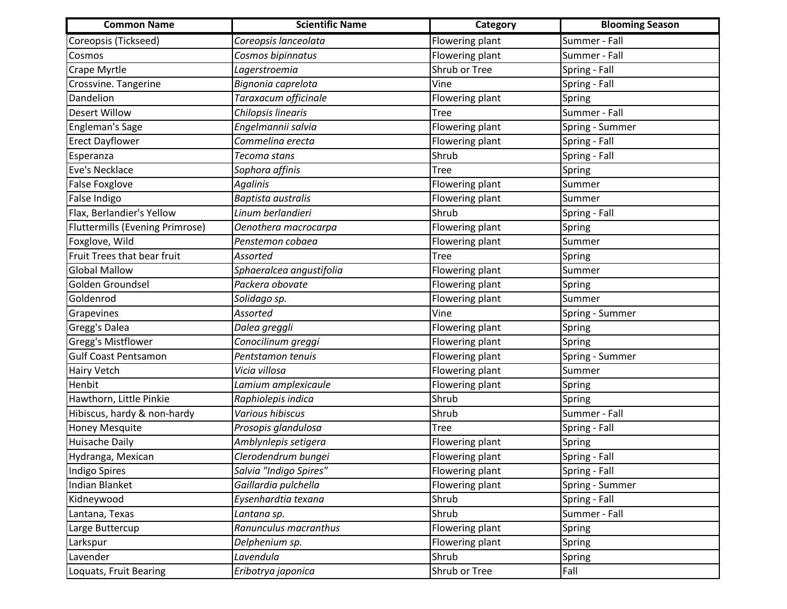| <b>Common Name</b>              | <b>Scientific Name</b>   | Category               | <b>Blooming Season</b> |
|---------------------------------|--------------------------|------------------------|------------------------|
| Coreopsis (Tickseed)            | Coreopsis lanceolata     | Flowering plant        | Summer - Fall          |
| Cosmos                          | Cosmos bipinnatus        | Flowering plant        | Summer - Fall          |
| Crape Myrtle                    | Lagerstroemia            | Shrub or Tree          | Spring - Fall          |
| Crossvine. Tangerine            | Bignonia caprelota       | Vine                   | Spring - Fall          |
| Dandelion                       | Taraxacum officinale     | Flowering plant        | Spring                 |
| <b>Desert Willow</b>            | Chilopsis linearis       | Tree                   | Summer - Fall          |
| <b>Engleman's Sage</b>          | Engelmannii salvia       | Flowering plant        | Spring - Summer        |
| <b>Erect Dayflower</b>          | Commelina erecta         | Flowering plant        | Spring - Fall          |
| Esperanza                       | Tecoma stans             | Shrub                  | Spring - Fall          |
| Eve's Necklace                  | Sophora affinis          | <b>Tree</b>            | Spring                 |
| <b>False Foxglove</b>           | <b>Agalinis</b>          | Flowering plant        | Summer                 |
| False Indigo                    | Baptista australis       | Flowering plant        | Summer                 |
| Flax, Berlandier's Yellow       | Linum berlandieri        | Shrub                  | Spring - Fall          |
| Fluttermills (Evening Primrose) | Oenothera macrocarpa     | Flowering plant        | Spring                 |
| Foxglove, Wild                  | Penstemon cobaea         | Flowering plant        | Summer                 |
| Fruit Trees that bear fruit     | Assorted                 | <b>Tree</b>            | Spring                 |
| <b>Global Mallow</b>            | Sphaeralcea angustifolia | Flowering plant        | Summer                 |
| Golden Groundsel                | Packera obovate          | Flowering plant        | Spring                 |
| Goldenrod                       | Solidago sp.             | Flowering plant        | Summer                 |
| Grapevines                      | Assorted                 | Vine                   | Spring - Summer        |
| Gregg's Dalea                   | Dalea greggli            | Flowering plant        | Spring                 |
| Gregg's Mistflower              | Conocilinum greggi       | Flowering plant        | Spring                 |
| <b>Gulf Coast Pentsamon</b>     | Pentstamon tenuis        | Flowering plant        | Spring - Summer        |
| Hairy Vetch                     | Vicia villosa            | Flowering plant        | Summer                 |
| Henbit                          | Lamium amplexicaule      | <b>Flowering plant</b> | Spring                 |
| Hawthorn, Little Pinkie         | Raphiolepis indica       | Shrub                  | Spring                 |
| Hibiscus, hardy & non-hardy     | Various hibiscus         | Shrub                  | Summer - Fall          |
| Honey Mesquite                  | Prosopis glandulosa      | Tree                   | Spring - Fall          |
| <b>Huisache Daily</b>           | Amblynlepis setigera     | Flowering plant        | Spring                 |
| Hydranga, Mexican               | Clerodendrum bungei      | Flowering plant        | Spring - Fall          |
| <b>Indigo Spires</b>            | Salvia "Indigo Spires"   | Flowering plant        | Spring - Fall          |
| Indian Blanket                  | Gaillardia pulchella     | Flowering plant        | Spring - Summer        |
| Kidneywood                      | Eysenhardtia texana      | Shrub                  | Spring - Fall          |
| Lantana, Texas                  | Lantana sp.              | Shrub                  | Summer - Fall          |
| Large Buttercup                 | Ranunculus macranthus    | Flowering plant        | Spring                 |
| Larkspur                        | Delphenium sp.           | Flowering plant        | Spring                 |
| Lavender                        | Lavendula                | Shrub                  | Spring                 |
| Loquats, Fruit Bearing          | Eribotrya japonica       | Shrub or Tree          | Fall                   |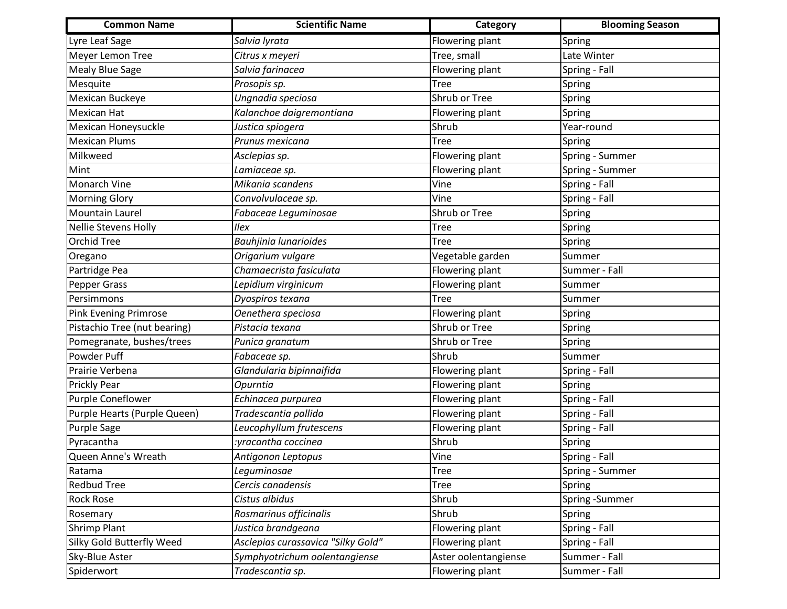| <b>Common Name</b>           | <b>Scientific Name</b>             | Category               | <b>Blooming Season</b> |
|------------------------------|------------------------------------|------------------------|------------------------|
| Lyre Leaf Sage               | Salvia lyrata                      | Flowering plant        | Spring                 |
| Meyer Lemon Tree             | Citrus x meyeri                    | Tree, small            | Late Winter            |
| <b>Mealy Blue Sage</b>       | Salvia farinacea                   | Flowering plant        | Spring - Fall          |
| Mesquite                     | Prosopis sp.                       | <b>Tree</b>            | Spring                 |
| Mexican Buckeye              | Ungnadia speciosa                  | Shrub or Tree          | Spring                 |
| <b>Mexican Hat</b>           | Kalanchoe daigremontiana           | Flowering plant        | Spring                 |
| Mexican Honeysuckle          | Justica spiogera                   | Shrub                  | Year-round             |
| <b>Mexican Plums</b>         | Prunus mexicana                    | <b>Tree</b>            | Spring                 |
| Milkweed                     | Asclepias sp.                      | Flowering plant        | Spring - Summer        |
| Mint                         | Lamiaceae sp.                      | <b>Flowering plant</b> | Spring - Summer        |
| Monarch Vine                 | Mikania scandens                   | Vine                   | Spring - Fall          |
| <b>Morning Glory</b>         | Convolvulaceae sp.                 | Vine                   | Spring - Fall          |
| Mountain Laurel              | Fabaceae Leguminosae               | Shrub or Tree          | Spring                 |
| <b>Nellie Stevens Holly</b>  | Ilex                               | <b>Tree</b>            | Spring                 |
| <b>Orchid Tree</b>           | Bauhjinia lunarioides              | <b>Tree</b>            | Spring                 |
| Oregano                      | Origarium vulgare                  | Vegetable garden       | Summer                 |
| Partridge Pea                | Chamaecrista fasiculata            | Flowering plant        | Summer - Fall          |
| Pepper Grass                 | Lepidium virginicum                | Flowering plant        | Summer                 |
| Persimmons                   | Dyospiros texana                   | <b>Tree</b>            | Summer                 |
| <b>Pink Evening Primrose</b> | Oenethera speciosa                 | Flowering plant        | Spring                 |
| Pistachio Tree (nut bearing) | Pistacia texana                    | Shrub or Tree          | Spring                 |
| Pomegranate, bushes/trees    | Punica granatum                    | Shrub or Tree          | Spring                 |
| Powder Puff                  | Fabaceae sp.                       | Shrub                  | Summer                 |
| Prairie Verbena              | Glandularia bipinnaifida           | Flowering plant        | Spring - Fall          |
| Prickly Pear                 | Opurntia                           | <b>Flowering plant</b> | Spring                 |
| Purple Coneflower            | Echinacea purpurea                 | Flowering plant        | Spring - Fall          |
| Purple Hearts (Purple Queen) | Tradescantia pallida               | <b>Flowering plant</b> | Spring - Fall          |
| <b>Purple Sage</b>           | Leucophyllum frutescens            | Flowering plant        | Spring - Fall          |
| Pyracantha                   | yracantha coccinea:                | Shrub                  | Spring                 |
| Queen Anne's Wreath          | Antigonon Leptopus                 | Vine                   | Spring - Fall          |
| Ratama                       | Leguminosae                        | <b>Tree</b>            | Spring - Summer        |
| <b>Redbud Tree</b>           | Cercis canadensis                  | <b>Tree</b>            | Spring                 |
| <b>Rock Rose</b>             | Cistus albidus                     | Shrub                  | Spring -Summer         |
| Rosemary                     | Rosmarinus officinalis             | Shrub                  | Spring                 |
| Shrimp Plant                 | Justica brandgeana                 | Flowering plant        | Spring - Fall          |
| Silky Gold Butterfly Weed    | Asclepias curassavica "Silky Gold" | Flowering plant        | Spring - Fall          |
| Sky-Blue Aster               | Symphyotrichum oolentangiense      | Aster oolentangiense   | Summer - Fall          |
| Spiderwort                   | Tradescantia sp.                   | Flowering plant        | Summer - Fall          |